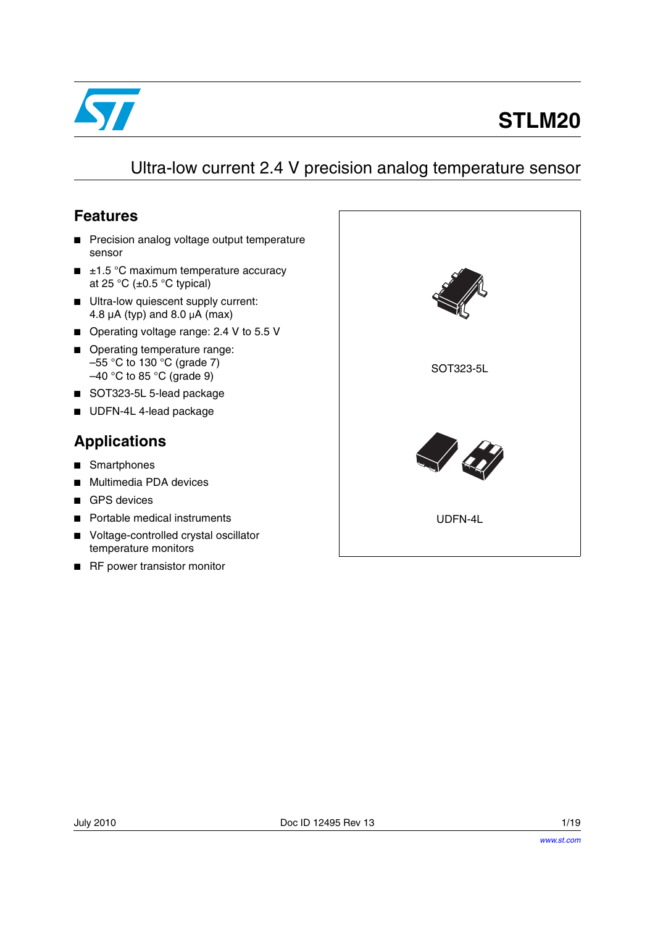

# **STLM20**

### Ultra-low current 2.4 V precision analog temperature sensor

#### <span id="page-0-0"></span>**Features**

- Precision analog voltage output temperature sensor
- $\blacksquare$   $\pm$ 1.5 °C maximum temperature accuracy at 25 °C ( $\pm$ 0.5 °C typical)
- Ultra-low quiescent supply current: 4.8  $\mu$ A (typ) and 8.0  $\mu$ A (max)
- Operating voltage range: 2.4 V to 5.5 V
- Operating temperature range: –55 °C to 130 °C (grade 7)  $-40$  °C to 85 °C (grade 9)
- SOT323-5L 5-lead package
- UDFN-4L 4-lead package

### **Applications**

- Smartphones
- Multimedia PDA devices
- GPS devices
- Portable medical instruments
- Voltage-controlled crystal oscillator temperature monitors
- RF power transistor monitor

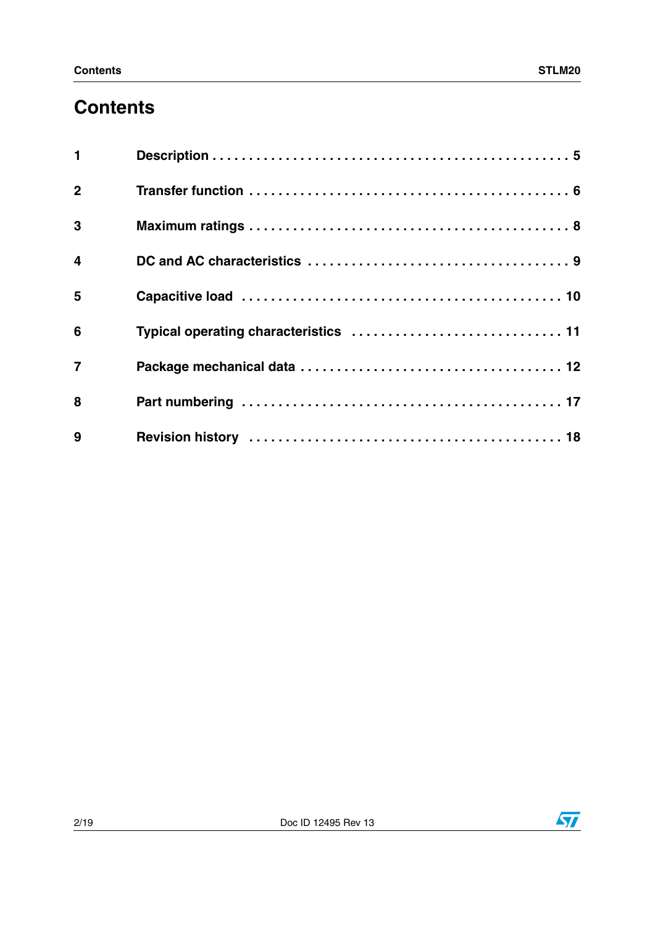## **Contents**

| $\mathbf{1}$            |  |
|-------------------------|--|
| $\overline{2}$          |  |
| 3                       |  |
| $\overline{\mathbf{4}}$ |  |
| 5                       |  |
| 6                       |  |
| $\overline{7}$          |  |
| 8                       |  |
| 9                       |  |

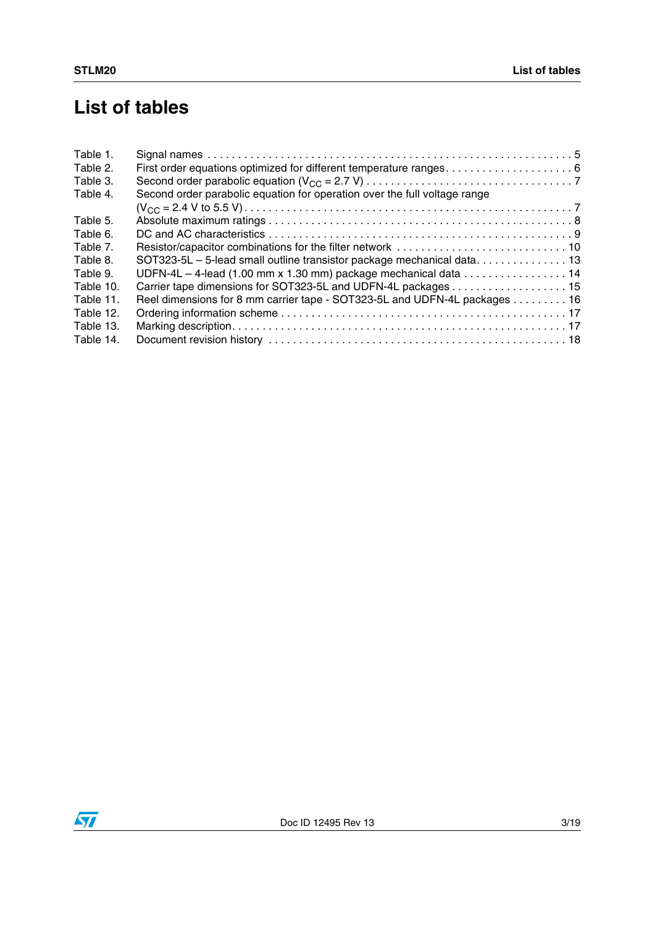## **List of tables**

| Table 1.  |                                                                                                     |  |
|-----------|-----------------------------------------------------------------------------------------------------|--|
| Table 2.  |                                                                                                     |  |
| Table 3.  |                                                                                                     |  |
| Table 4.  | Second order parabolic equation for operation over the full voltage range                           |  |
|           |                                                                                                     |  |
| Table 5.  |                                                                                                     |  |
| Table 6.  |                                                                                                     |  |
| Table 7.  |                                                                                                     |  |
| Table 8.  | SOT323-5L - 5-lead small outline transistor package mechanical data 13                              |  |
| Table 9.  | UDFN-4L $-$ 4-lead (1.00 mm x 1.30 mm) package mechanical data $\ldots \ldots \ldots \ldots \ldots$ |  |
| Table 10. | Carrier tape dimensions for SOT323-5L and UDFN-4L packages 15                                       |  |
| Table 11. | Reel dimensions for 8 mm carrier tape - SOT323-5L and UDFN-4L packages 16                           |  |
| Table 12. |                                                                                                     |  |
| Table 13. |                                                                                                     |  |
| Table 14. |                                                                                                     |  |
|           |                                                                                                     |  |

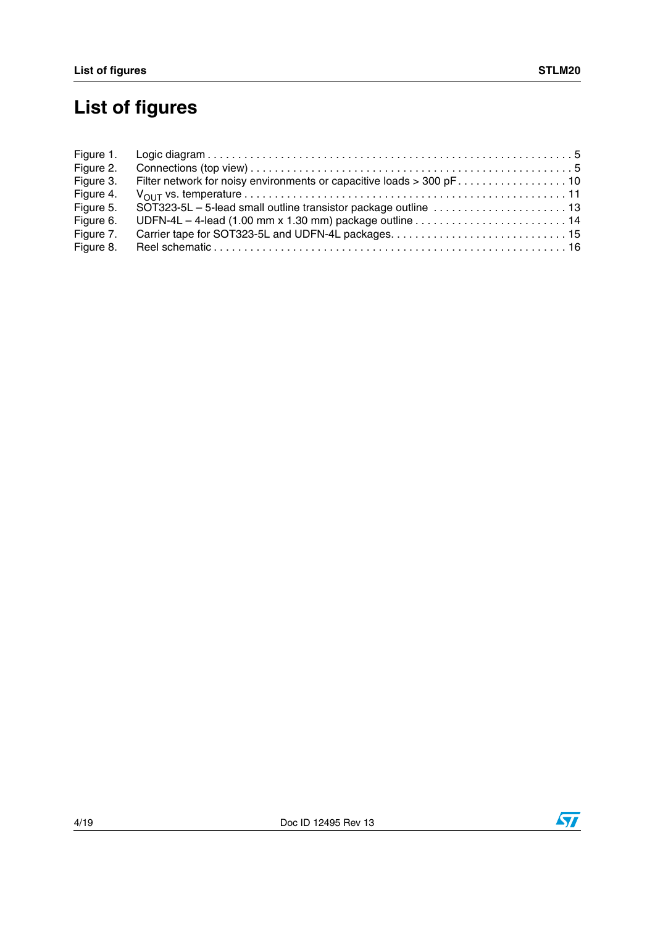# **List of figures**

| Figure 2. |                                                                                                                |
|-----------|----------------------------------------------------------------------------------------------------------------|
| Figure 3. |                                                                                                                |
| Figure 4. |                                                                                                                |
| Figure 5. |                                                                                                                |
| Figure 6. | UDFN-4L - 4-lead (1.00 mm x 1.30 mm) package outline $\ldots \ldots \ldots \ldots \ldots \ldots \ldots \ldots$ |
| Figure 7. |                                                                                                                |
| Figure 8. |                                                                                                                |



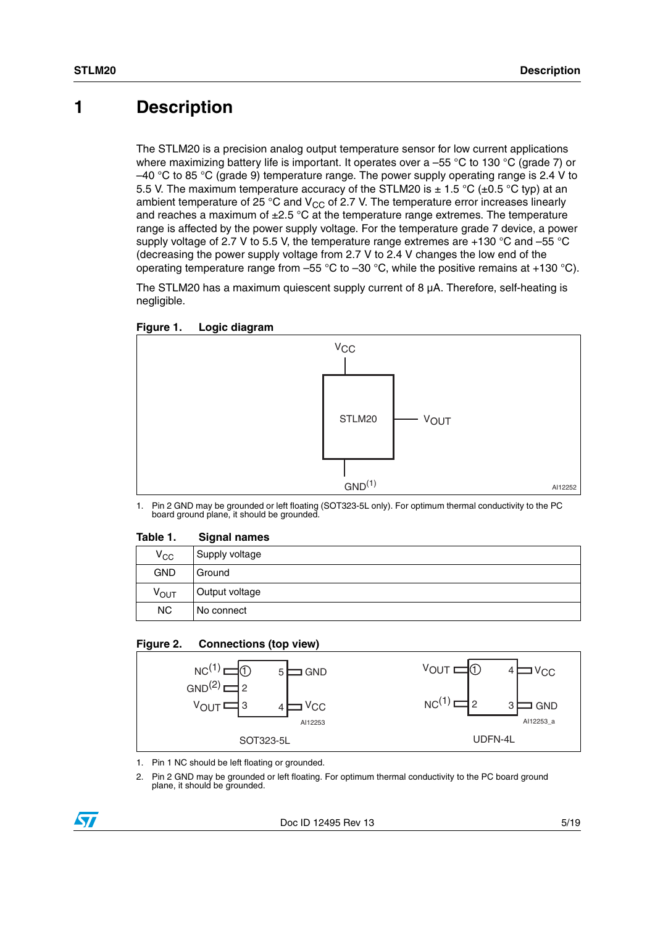### <span id="page-4-0"></span>**1 Description**

The STLM20 is a precision analog output temperature sensor for low current applications where maximizing battery life is important. It operates over a -55 °C to 130 °C (grade 7) or  $-40$  °C to 85 °C (grade 9) temperature range. The power supply operating range is 2.4 V to 5.5 V. The maximum temperature accuracy of the STLM20 is  $\pm$  1.5 °C ( $\pm$ 0.5 °C typ) at an ambient temperature of 25 °C and  $V_{CC}$  of 2.7 V. The temperature error increases linearly and reaches a maximum of  $\pm$ 2.5 °C at the temperature range extremes. The temperature range is affected by the power supply voltage. For the temperature grade 7 device, a power supply voltage of 2.7 V to 5.5 V, the temperature range extremes are +130  $\degree$ C and -55  $\degree$ C (decreasing the power supply voltage from 2.7 V to 2.4 V changes the low end of the operating temperature range from –55 °C to –30 °C, while the positive remains at +130 °C).

The STLM20 has a maximum quiescent supply current of 8  $\mu$ A. Therefore, self-heating is negligible.

<span id="page-4-2"></span>



1. Pin 2 GND may be grounded or left floating (SOT323-5L only). For optimum thermal conductivity to the PC board ground plane, it should be grounded.

#### <span id="page-4-1"></span>Table 1. **Signal names**

| $V_{\rm CC}$     | Supply voltage |
|------------------|----------------|
| <b>GND</b>       | Ground         |
| ν <sub>ουτ</sub> | Output voltage |
| <b>NC</b>        | No connect     |

#### <span id="page-4-3"></span>**Figure 2. Connections (top view)**



- 1. Pin 1 NC should be left floating or grounded.
- 2. Pin 2 GND may be grounded or left floating. For optimum thermal conductivity to the PC board ground plane, it should be grounded.

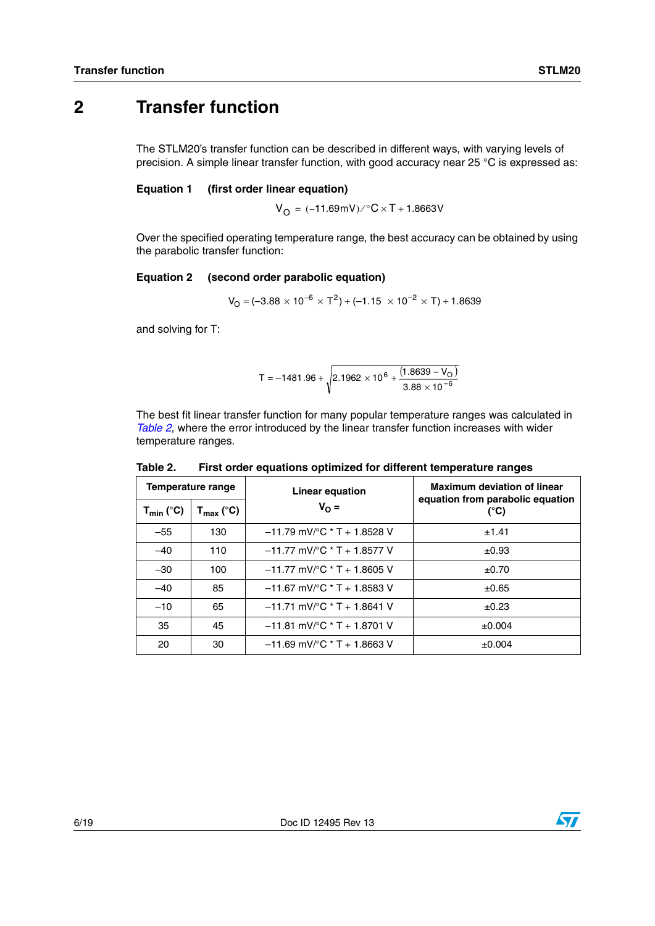### <span id="page-5-0"></span>**2 Transfer function**

The STLM20's transfer function can be described in different ways, with varying levels of precision. A simple linear transfer function, with good accuracy near 25 °C is expressed as:

#### **Equation 1 (first order linear equation)**

 $V_{\text{O}} = (-11.69 \text{mV}) / \text{°C} \times T + 1.8663 \text{V}$ 

Over the specified operating temperature range, the best accuracy can be obtained by using the parabolic transfer function:

#### **Equation 2 (second order parabolic equation)**

$$
V_{O} = (-3.88 \times 10^{-6} \times T^{2}) + (-1.15 \times 10^{-2} \times T) + 1.8639
$$

and solving for T:

$$
T = -1481.96 + \sqrt{2.1962 \times 10^6 + \frac{(1.8639 - V_O)}{3.88 \times 10^{-6}}}
$$

The best fit linear transfer function for many popular temperature ranges was calculated in *[Table 2](#page-5-1)*, where the error introduced by the linear transfer function increases with wider temperature ranges.

| Temperature range |                                   | <b>Linear equation</b>                            | <b>Maximum deviation of linear</b>                |  |  |
|-------------------|-----------------------------------|---------------------------------------------------|---------------------------------------------------|--|--|
| $T_{min}$ (°C)    | $\mathsf{T}_{\mathsf{max}}$ (°C). | $V_{\Omega} =$                                    | equation from parabolic equation<br>$(^{\circ}C)$ |  |  |
| $-55$             | 130                               | $-11.79$ mV/ $^{\circ}$ C * T + 1.8528 V          | ±1.41                                             |  |  |
| $-40$             | 110                               | $-11.77$ mV/ $\degree$ C * T + 1.8577 V           | $\pm 0.93$                                        |  |  |
| $-30$             | 100                               | $-11.77$ mV/ $\degree$ C * T + 1.8605 V           | ±0.70                                             |  |  |
| $-40$             | 85                                | $-11.67$ mV/ $^{\circ}$ C $^{\star}$ T + 1.8583 V | ±0.65                                             |  |  |
| $-10$             | 65                                | $-11.71$ mV/ $\degree$ C * T + 1.8641 V           | $\pm 0.23$                                        |  |  |
| 35                | 45                                | $-11.81$ mV/ $^{\circ}$ C * T + 1.8701 V          | $\pm 0.004$                                       |  |  |
| 20                | 30                                | $-11.69$ mV/ $\degree$ C * T + 1.8663 V           | $\pm 0.004$                                       |  |  |

<span id="page-5-1"></span>Table 2. First order equations optimized for different temperature ranges

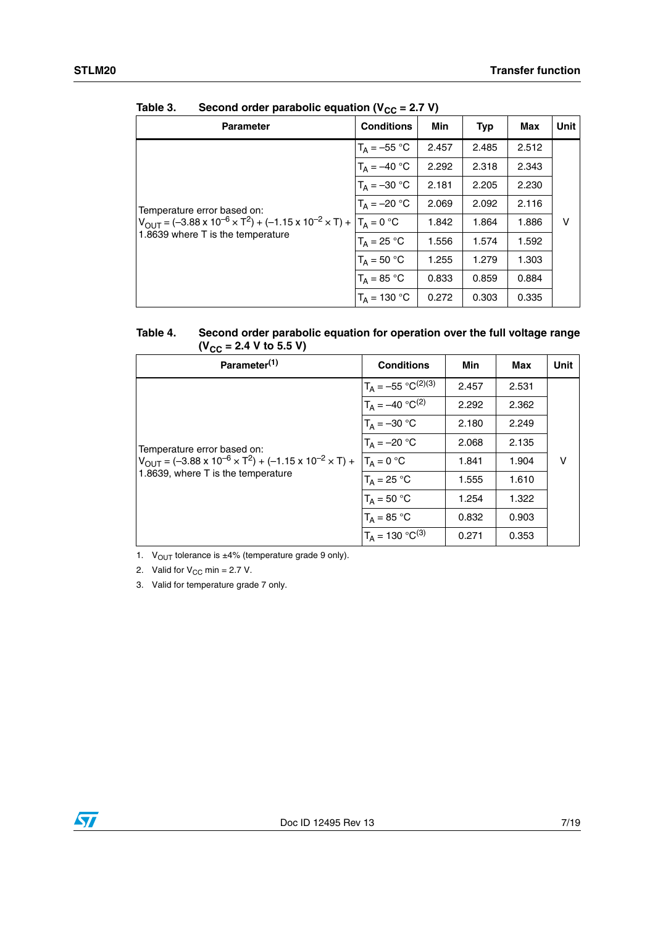| <b>Conditions</b> | Min                                                     | <b>Typ</b> | Max   | Unit I |
|-------------------|---------------------------------------------------------|------------|-------|--------|
| $T_A = -55 °C$    | 2.457                                                   | 2.485      | 2.512 |        |
| $T_A = -40 °C$    | 2.292                                                   | 2.318      | 2.343 |        |
| $T_A = -30 °C$    | 2.181                                                   | 2.205      | 2.230 |        |
| $T_A = -20 °C$    | 2.069                                                   | 2.092      | 2.116 |        |
| $T_A = 0 °C$      | 1.842                                                   | 1.864      | 1.886 | v      |
| $T_A = 25 °C$     | 1.556                                                   | 1.574      | 1.592 |        |
| $T_A = 50 °C$     | 1.255                                                   | 1.279      | 1.303 |        |
| $T_A = 85 °C$     | 0.833                                                   | 0.859      | 0.884 |        |
| $T_A = 130 °C$    | 0.272                                                   | 0.303      | 0.335 |        |
|                   | $\sim$ . The parametric equation ( $\sim$ $\sim$ $\sim$ |            |       |        |

<span id="page-6-0"></span>Table 3. **Second order parabolic equation (** $V_{CC}$  **= 2.7 V)** 

<span id="page-6-1"></span>

| Table 4. | Second order parabolic equation for operation over the full voltage range |
|----------|---------------------------------------------------------------------------|
|          | $(V_{CC} = 2.4 V to 5.5 V)$                                               |

| Parameter <sup>(1)</sup>                                                                 | <b>Conditions</b>           | Min   | Max   | Unit |
|------------------------------------------------------------------------------------------|-----------------------------|-------|-------|------|
|                                                                                          | $T_A = -55 °C^{(2)(3)}$     | 2.457 | 2.531 |      |
|                                                                                          | $T_A = -40 \degree C^{(2)}$ | 2.292 | 2.362 |      |
|                                                                                          | $T_A = -30 °C$              | 2.180 | 2.249 |      |
| Temperature error based on:                                                              | $T_A = -20 °C$              | 2.068 | 2.135 |      |
| $V_{\text{OUT}} = (-3.88 \times 10^{-6} \times T^2) + (-1.15 \times 10^{-2} \times T) +$ | $T_A = 0 °C$                | 1.841 | 1.904 | v    |
| 1.8639, where T is the temperature                                                       | $T_A = 25 °C$               | 1.555 | 1.610 |      |
|                                                                                          | $T_A = 50 °C$               | 1.254 | 1.322 |      |
|                                                                                          | $T_A = 85 °C$               | 0.832 | 0.903 |      |
|                                                                                          | $T_A = 130 °C^{(3)}$        | 0.271 | 0.353 |      |

1.  $V_{OUT}$  tolerance is  $\pm 4\%$  (temperature grade 9 only).

2. Valid for  $V_{CC}$  min = 2.7 V.

3. Valid for temperature grade 7 only.

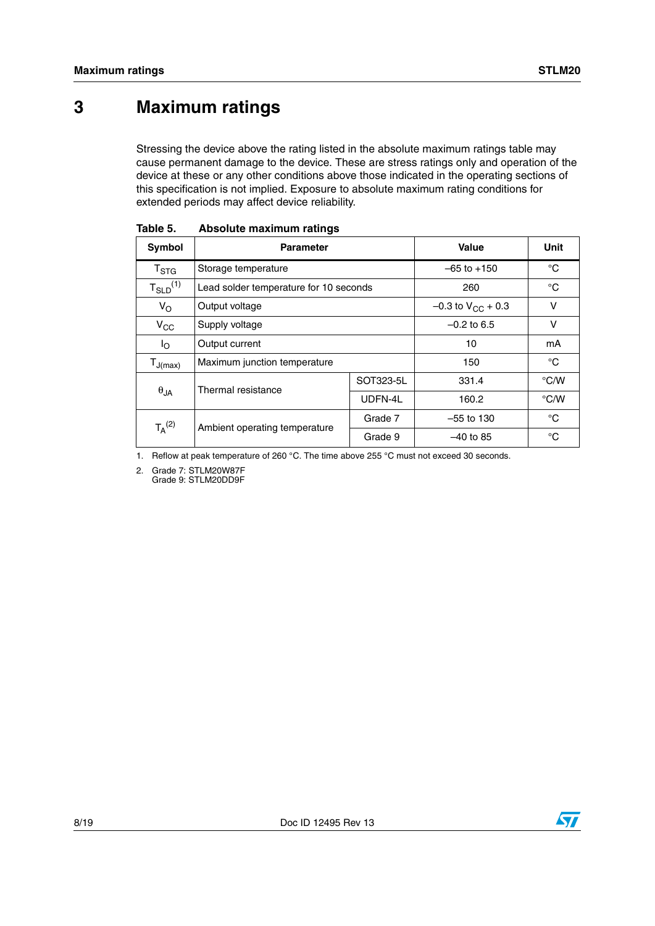### <span id="page-7-0"></span>**3 Maximum ratings**

Stressing the device above the rating listed in the absolute maximum ratings table may cause permanent damage to the device. These are stress ratings only and operation of the device at these or any other conditions above those indicated in the operating sections of this specification is not implied. Exposure to absolute maximum rating conditions for extended periods may affect device reliability.

| Symbol                    | <b>Parameter</b>                         | Value         | Unit                     |               |
|---------------------------|------------------------------------------|---------------|--------------------------|---------------|
| $\mathsf{T}_{\text{STG}}$ | Storage temperature                      |               | $-65$ to $+150$          | °C            |
| $T_{SLD}^{(1)}$           | Lead solder temperature for 10 seconds   |               | 260                      | °C            |
| $V_{\rm O}$               | Output voltage                           |               | $-0.3$ to $V_{CC}$ + 0.3 | v             |
| $V_{CC}$                  | Supply voltage                           | $-0.2$ to 6.5 | v                        |               |
| Io                        | Output current                           | 10            | mΑ                       |               |
| $T_{J(max)}$              | Maximum junction temperature             |               | 150                      | °C            |
|                           | Thermal resistance                       |               | 331.4                    | $\degree$ C/W |
| $\theta_{JA}$             |                                          | UDFN-4L       | 160.2                    | $\degree$ C/W |
| $T_A^{(2)}$               |                                          | Grade 7       | $-55$ to 130             | $^{\circ}C$   |
|                           | Ambient operating temperature<br>Grade 9 |               | $-40$ to 85              | °C            |

<span id="page-7-1"></span>Table 5. **Absolute maximum ratings** 

1. Reflow at peak temperature of 260 °C. The time above 255 °C must not exceed 30 seconds.

2. Grade 7: STLM20W87F

Grade 9: STLM20DD9F

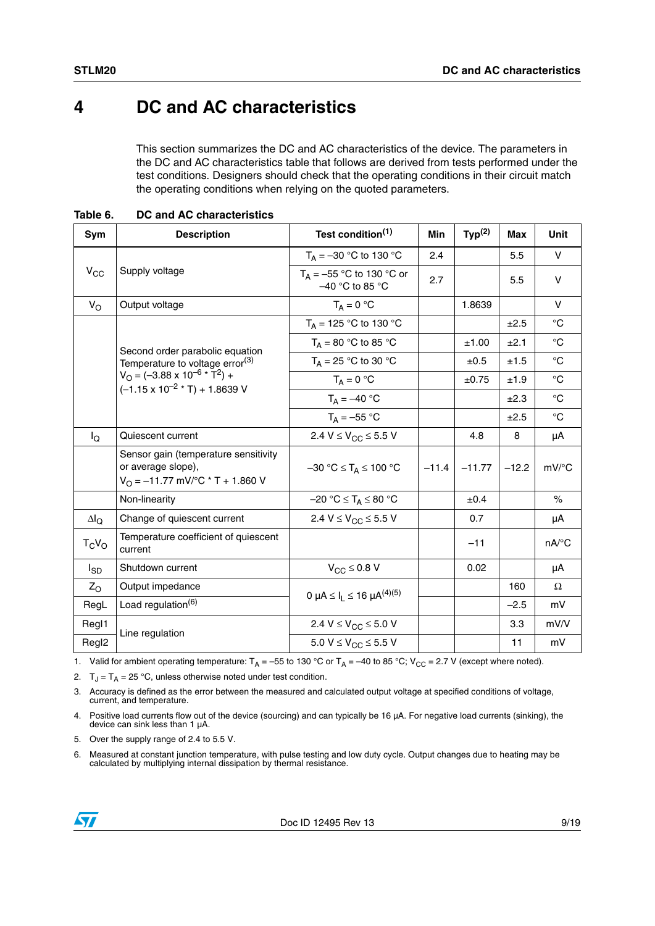### <span id="page-8-0"></span>**4 DC and AC characteristics**

This section summarizes the DC and AC characteristics of the device. The parameters in the DC and AC characteristics table that follows are derived from tests performed under the test conditions. Designers should check that the operating conditions in their circuit match the operating conditions when relying on the quoted parameters.

<span id="page-8-1"></span>**Table 6. DC and AC characteristics**

| Sym                 | <b>Description</b>                                                                                                             | Test condition <sup>(1)</sup>                             | <b>Min</b> | Typ <sup>(2)</sup> | Max     | Unit                |
|---------------------|--------------------------------------------------------------------------------------------------------------------------------|-----------------------------------------------------------|------------|--------------------|---------|---------------------|
|                     |                                                                                                                                | $T_A = -30$ °C to 130 °C                                  | 2.4        |                    | 5.5     | V                   |
| $V_{CC}$            | Supply voltage                                                                                                                 | $T_A = -55$ °C to 130 °C or<br>-40 °C to 85 °C            | 2.7        |                    | 5.5     | $\vee$              |
| $V_{\rm O}$         | Output voltage                                                                                                                 | $T_A = 0 °C$                                              |            | 1.8639             |         | $\vee$              |
|                     |                                                                                                                                | $T_A = 125 °C$ to 130 °C                                  |            |                    | ±2.5    | $^{\circ}$ C        |
|                     | Second order parabolic equation                                                                                                | $T_A = 80 °C$ to 85 °C                                    |            | ±1.00              | ±2.1    | $^{\circ}$ C        |
|                     | Temperature to voltage error <sup>(3)</sup>                                                                                    | $T_A = 25 °C$ to 30 °C                                    |            | ±0.5               | ±1.5    | $^{\circ}$ C        |
|                     | $V_{\rm O}$ = (-3.88 x 10 <sup>-6</sup> * $\rm \tilde{T}^2$ ) +<br>$(-1.15 \times 10^{-2} \times T) + 1.8639 V$                | $T_A = 0 °C$                                              |            | ±0.75              | ±1.9    | $^{\circ}$ C        |
|                     |                                                                                                                                | $T_A = -40 °C$                                            |            |                    | ±2.3    | $^{\circ}C$         |
|                     |                                                                                                                                | $T_A = -55 °C$                                            |            |                    | ±2.5    | $^{\circ}$ C        |
| $I_{\rm Q}$         | Quiescent current                                                                                                              | 2.4 V $\leq$ V <sub>CC</sub> $\leq$ 5.5 V                 |            | 4.8                | 8       | μA                  |
|                     | Sensor gain (temperature sensitivity<br>or average slope),<br>$V_{\text{O}} = -11.77 \text{ mV}^{\circ}\text{C}$ * T + 1.860 V | $-30$ °C $\leq$ T <sub>A</sub> $\leq$ 100 °C              | $-11.4$    | $-11.77$           | $-12.2$ | $mV$ <sup>o</sup> C |
|                     | Non-linearity                                                                                                                  | $-20 °C \leq T_A \leq 80 °C$                              |            | ±0.4               |         | $\%$                |
| $\Delta I_{\Omega}$ | Change of quiescent current                                                                                                    | 2.4 V $\leq$ V <sub>CC</sub> $\leq$ 5.5 V                 |            | 0.7                |         | μA                  |
| $T_C V_O$           | Temperature coefficient of quiescent<br>current                                                                                |                                                           |            | $-11$              |         | nA/°C               |
| $I_{SD}$            | Shutdown current                                                                                                               | $V_{CC} \leq 0.8 V$                                       |            | 0.02               |         | μA                  |
| $Z_{\Omega}$        | Output impedance                                                                                                               | 0 µA $\leq$ I <sub>1</sub> $\leq$ 16 µA <sup>(4)(5)</sup> |            |                    | 160     | $\Omega$            |
| RegL                | Load regulation <sup>(6)</sup>                                                                                                 |                                                           |            |                    | $-2.5$  | mV                  |
| RegI1               | Line regulation                                                                                                                | 2.4 $V \leq V_{CC} \leq 5.0 V$                            |            |                    | 3.3     | mV/V                |
| Regl <sub>2</sub>   |                                                                                                                                | 5.0 V $\leq$ V <sub>CC</sub> $\leq$ 5.5 V                 |            |                    | 11      | mV                  |

1. Valid for ambient operating temperature:  $T_A = -55$  to 130 °C or  $T_A = -40$  to 85 °C; V<sub>CC</sub> = 2.7 V (except where noted).

2.  $T_J = T_A = 25 °C$ , unless otherwise noted under test condition.

3. Accuracy is defined as the error between the measured and calculated output voltage at specified conditions of voltage, current, and temperature.

4. Positive load currents flow out of the device (sourcing) and can typically be 16 µA. For negative load currents (sinking), the device can sink less than 1 µA.

5. Over the supply range of 2.4 to 5.5 V.

6. Measured at constant junction temperature, with pulse testing and low duty cycle. Output changes due to heating may be calculated by multiplying internal dissipation by thermal resistance.

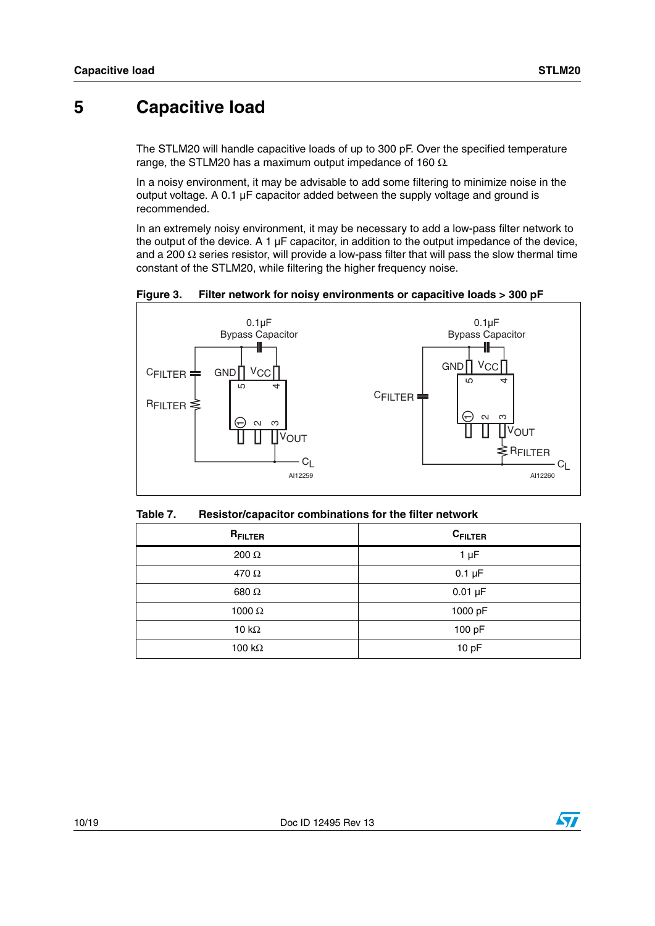### <span id="page-9-0"></span>**5 Capacitive load**

The STLM20 will handle capacitive loads of up to 300 pF. Over the specified temperature range, the STLM20 has a maximum output impedance of 160 Ω.

In a noisy environment, it may be advisable to add some filtering to minimize noise in the output voltage. A 0.1 µF capacitor added between the supply voltage and ground is recommended.

In an extremely noisy environment, it may be necessary to add a low-pass filter network to the output of the device. A 1  $\mu$ F capacitor, in addition to the output impedance of the device, and a 200  $\Omega$  series resistor, will provide a low-pass filter that will pass the slow thermal time constant of the STLM20, while filtering the higher frequency noise.

<span id="page-9-2"></span>**Figure 3. Filter network for noisy environments or capacitive loads > 300 pF**



<span id="page-9-1"></span>

| Table 7. | Resistor/capacitor combinations for the filter network |
|----------|--------------------------------------------------------|
|----------|--------------------------------------------------------|

| R <sub>FILTER</sub> | $C$ FILTER   |
|---------------------|--------------|
| 200 $\Omega$        | $1 \mu F$    |
| 470 $\Omega$        | $0.1 \mu F$  |
| 680 Ω               | $0.01 \mu F$ |
| 1000 $\Omega$       | 1000 pF      |
| 10 $k\Omega$        | 100 pF       |
| 100 k $\Omega$      | 10pF         |

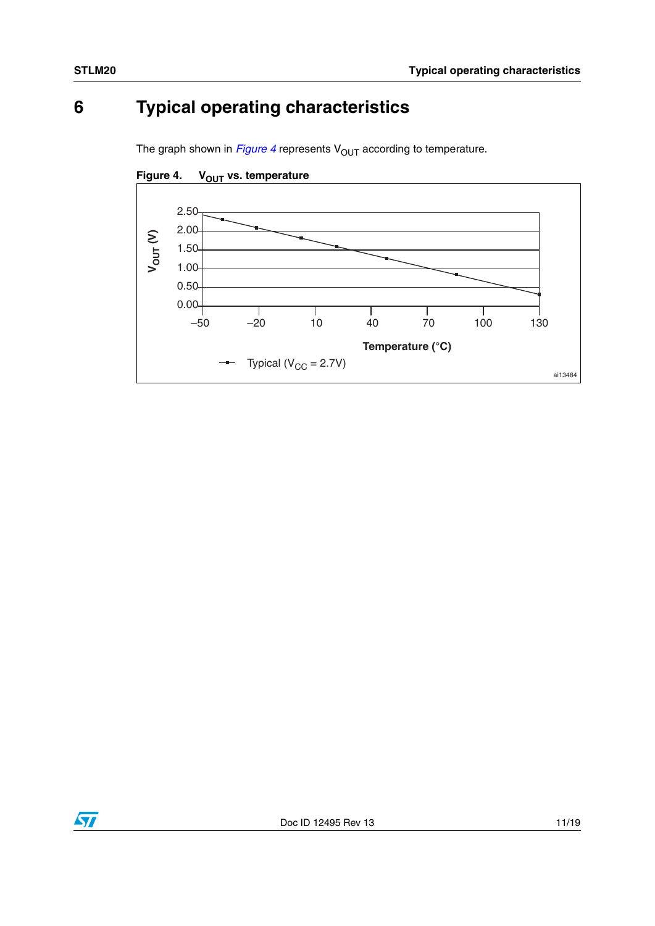## <span id="page-10-0"></span>**6 Typical operating characteristics**

The graph shown in  $Figure 4$  represents  $V_{OUT}$  according to temperature.



<span id="page-10-1"></span>Figure 4. V<sub>OUT</sub> vs. temperature

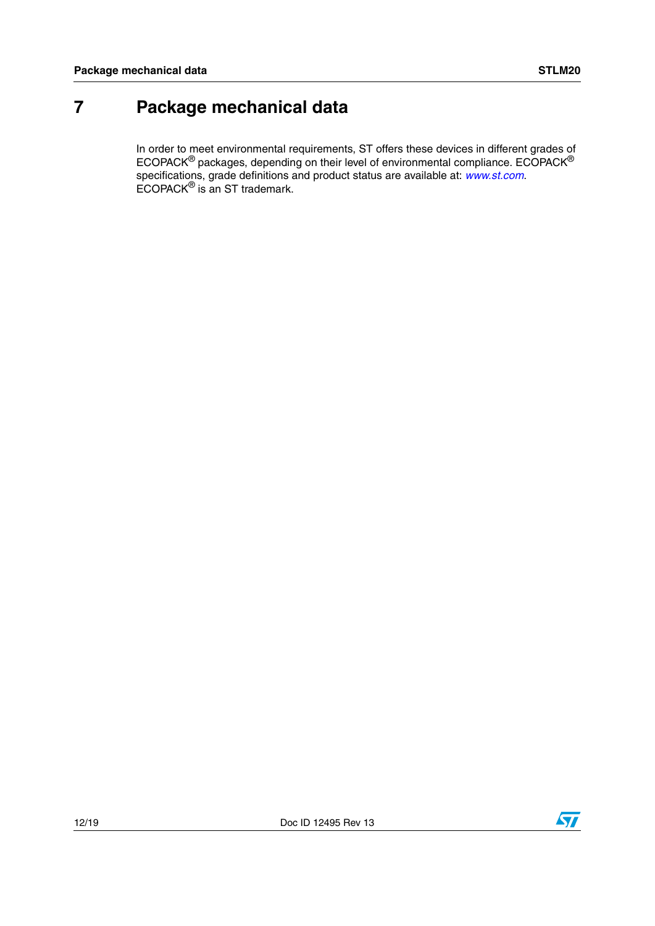### <span id="page-11-0"></span>**7 Package mechanical data**

In order to meet environmental requirements, ST offers these devices in different grades of ECOPACK® packages, depending on their level of environmental compliance. ECOPACK® specifications, grade definitions and product status are available at: *[www.st.com](http://www.st.com)*. ECOPACK® is an ST trademark.

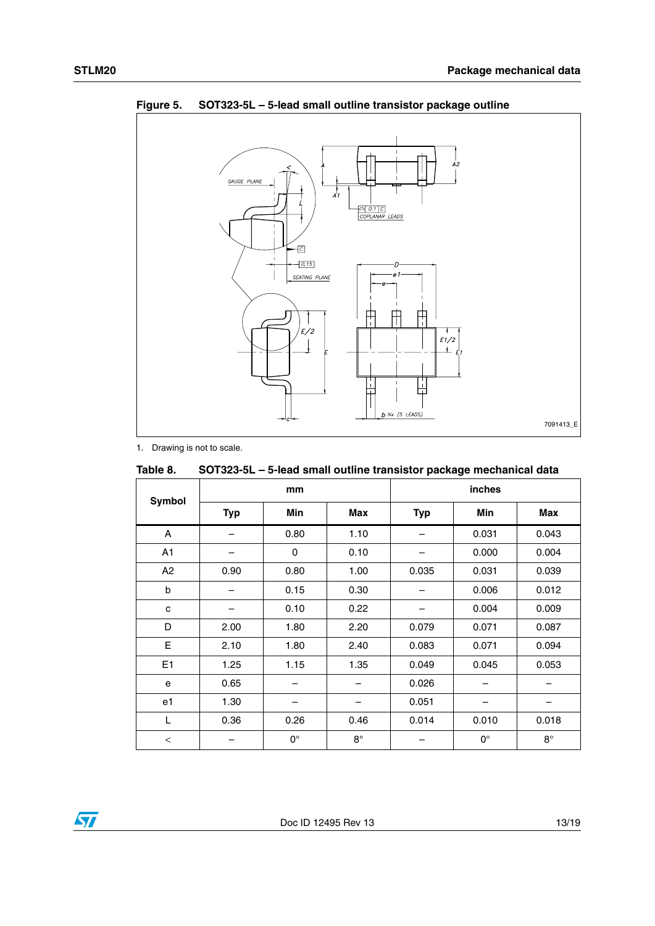

<span id="page-12-1"></span>**Figure 5. SOT323-5L – 5-lead small outline transistor package outline**

1. Drawing is not to scale.

| Table 8.       | SOT323-5L – 5-lead small outline transistor package mechanical data |             |             |            |             |             |  |  |
|----------------|---------------------------------------------------------------------|-------------|-------------|------------|-------------|-------------|--|--|
| Symbol         |                                                                     | mm          |             |            | inches      |             |  |  |
|                | <b>Typ</b>                                                          | Min         | Max         | <b>Typ</b> | Min         | Max         |  |  |
| A              |                                                                     | 0.80        | 1.10        |            | 0.031       | 0.043       |  |  |
| A1             |                                                                     | 0           | 0.10        |            | 0.000       | 0.004       |  |  |
| A2             | 0.90                                                                | 0.80        | 1.00        | 0.035      | 0.031       | 0.039       |  |  |
| b              |                                                                     | 0.15        | 0.30        |            | 0.006       | 0.012       |  |  |
| C              |                                                                     | 0.10        | 0.22        |            | 0.004       | 0.009       |  |  |
| D              | 2.00                                                                | 1.80        | 2.20        | 0.079      | 0.071       | 0.087       |  |  |
| E              | 2.10                                                                | 1.80        | 2.40        | 0.083      | 0.071       | 0.094       |  |  |
| E <sub>1</sub> | 1.25                                                                | 1.15        | 1.35        | 0.049      | 0.045       | 0.053       |  |  |
| e              | 0.65                                                                |             |             | 0.026      |             |             |  |  |
| e1             | 1.30                                                                |             |             | 0.051      |             |             |  |  |
| L              | 0.36                                                                | 0.26        | 0.46        | 0.014      | 0.010       | 0.018       |  |  |
| $\,<$          |                                                                     | $0^{\circ}$ | $8^{\circ}$ |            | $0^{\circ}$ | $8^{\circ}$ |  |  |

<span id="page-12-0"></span>

| Table 8. | SOT323-5L - 5-lead small outline transistor package mechanical data |  |
|----------|---------------------------------------------------------------------|--|
|----------|---------------------------------------------------------------------|--|

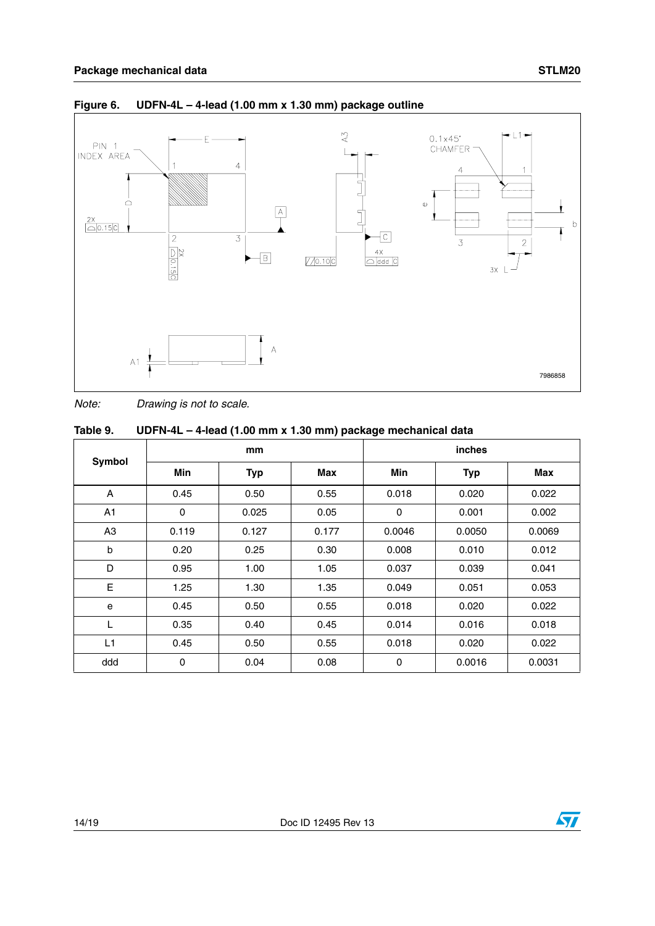

#### <span id="page-13-1"></span>**Figure 6. UDFN-4L – 4-lead (1.00 mm x 1.30 mm) package outline**

*Note: Drawing is not to scale.*

<span id="page-13-0"></span>

| Table 9. |  | UDFN-4L - 4-lead (1.00 mm x 1.30 mm) package mechanical data |
|----------|--|--------------------------------------------------------------|
|----------|--|--------------------------------------------------------------|

|                |       | mm         |       |             | <i>inches</i> |        |
|----------------|-------|------------|-------|-------------|---------------|--------|
| Symbol         | Min   | <b>Typ</b> | Max   | Min         | <b>Typ</b>    | Max    |
| A              | 0.45  | 0.50       | 0.55  | 0.018       | 0.020         | 0.022  |
| A <sub>1</sub> | 0     | 0.025      | 0.05  | $\mathbf 0$ | 0.001         | 0.002  |
| A <sub>3</sub> | 0.119 | 0.127      | 0.177 | 0.0046      | 0.0050        | 0.0069 |
| b              | 0.20  | 0.25       | 0.30  | 0.008       | 0.010         | 0.012  |
| D              | 0.95  | 1.00       | 1.05  | 0.037       | 0.039         | 0.041  |
| E              | 1.25  | 1.30       | 1.35  | 0.049       | 0.051         | 0.053  |
| e              | 0.45  | 0.50       | 0.55  | 0.018       | 0.020         | 0.022  |
| L              | 0.35  | 0.40       | 0.45  | 0.014       | 0.016         | 0.018  |
| L1             | 0.45  | 0.50       | 0.55  | 0.018       | 0.020         | 0.022  |
| ddd            | 0     | 0.04       | 0.08  | 0           | 0.0016        | 0.0031 |

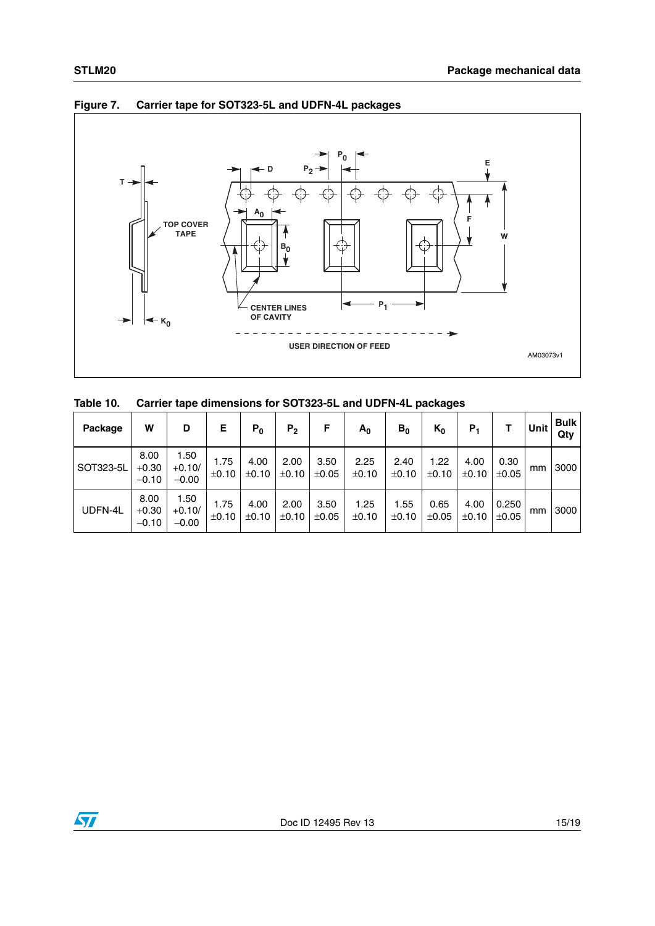



#### <span id="page-14-1"></span>**Figure 7. Carrier tape for SOT323-5L and UDFN-4L packages**

<span id="page-14-0"></span>

| Table 10. | Carrier tape dimensions for SOT323-5L and UDFN-4L packages |  |  |
|-----------|------------------------------------------------------------|--|--|
|-----------|------------------------------------------------------------|--|--|

| Package   | W                          | D                           | Е             | $P_0$         | P <sub>2</sub> | F                  | $A_0$         | $B_0$         | $K_0$              | Р,            |                | Unit | <b>Bulk</b><br>Qty |
|-----------|----------------------------|-----------------------------|---------------|---------------|----------------|--------------------|---------------|---------------|--------------------|---------------|----------------|------|--------------------|
| SOT323-5L | 8.00<br>$+0.30$<br>$-0.10$ | 1.50<br>$+0.10/$<br>$-0.00$ | 1.75<br>±0.10 | 4.00<br>±0.10 | 2.00<br>±0.10  | 3.50<br>$\pm 0.05$ | 2.25<br>±0.10 | 2.40<br>±0.10 | 1.22<br>±0.10      | 4.00<br>±0.10 | 0.30<br>±0.05  | mm   | 3000               |
| UDFN-4L   | 8.00<br>$+0.30$<br>$-0.10$ | 1.50<br>$+0.10/$<br>$-0.00$ | 1.75<br>±0.10 | 4.00<br>±0.10 | 2.00<br>±0.10  | 3.50<br>±0.05      | 1.25<br>±0.10 | 1.55<br>±0.10 | 0.65<br>$\pm 0.05$ | 4.00<br>±0.10 | 0.250<br>±0.05 | mm   | 3000               |

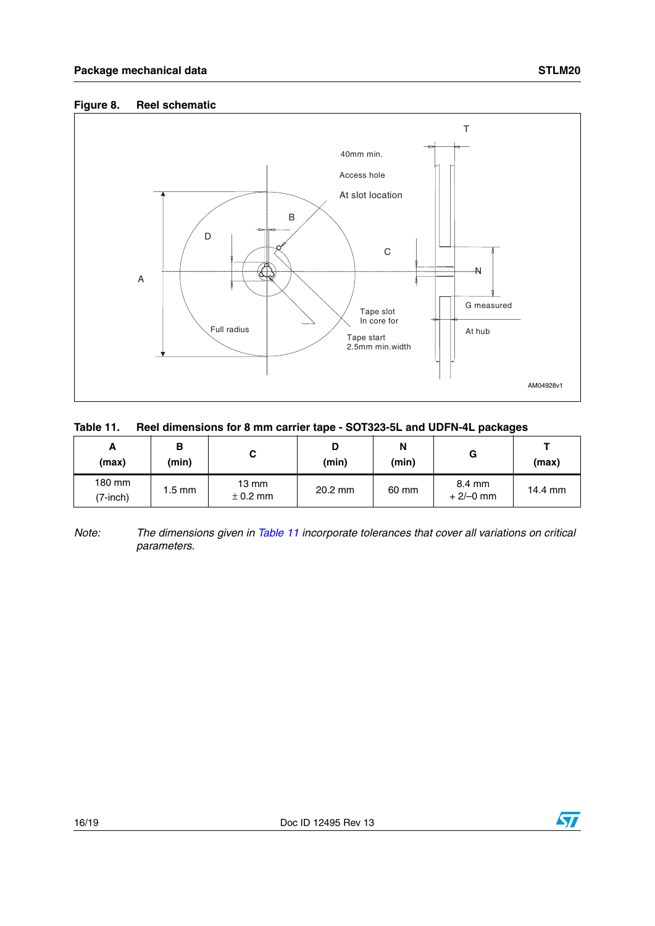#### <span id="page-15-1"></span>**Figure 8. Reel schematic**



#### <span id="page-15-0"></span>**Table 11. Reel dimensions for 8 mm carrier tape - SOT323-5L and UDFN-4L packages**

| A<br>(max)         | в<br>(min) | v                               | D<br>(min) | N<br>(min) | G                    | (max)   |
|--------------------|------------|---------------------------------|------------|------------|----------------------|---------|
| 180 mm<br>(7-inch) | 1.5 mm     | $13 \text{ mm}$<br>$\pm$ 0.2 mm | $20.2$ mm  | 60 mm      | 8.4 mm<br>$+2/-0$ mm | 14.4 mm |

*Note: The dimensions given in [Table 11](#page-15-0) incorporate tolerances that cover all variations on critical parameters.*

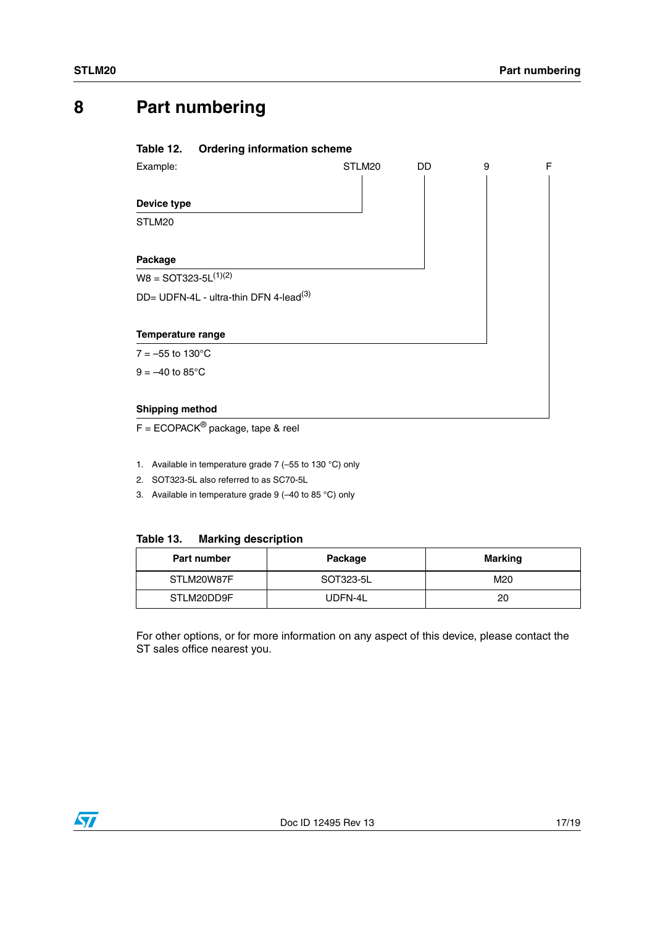### <span id="page-16-0"></span>**8 Part numbering**

#### <span id="page-16-1"></span>**Table 12. Ordering information scheme**

| Example:                                           | STLM20 | DD | 9 | F |
|----------------------------------------------------|--------|----|---|---|
|                                                    |        |    |   |   |
| Device type                                        |        |    |   |   |
| STLM20                                             |        |    |   |   |
|                                                    |        |    |   |   |
| Package                                            |        |    |   |   |
| $W8 =$ SOT323-5L $(1)(2)$                          |        |    |   |   |
| DD= UDFN-4L - ultra-thin DFN 4-lead <sup>(3)</sup> |        |    |   |   |
|                                                    |        |    |   |   |
| <b>Temperature range</b>                           |        |    |   |   |
| $7 = -55$ to 130 °C                                |        |    |   |   |
| $9 = -40$ to $85^{\circ}$ C                        |        |    |   |   |
|                                                    |        |    |   |   |
| <b>Shipping method</b>                             |        |    |   |   |

 $F = ECOPACK^{\circledast}$  package, tape & reel

- 1. Available in temperature grade 7 (–55 to 130 °C) only
- 2. SOT323-5L also referred to as SC70-5L
- 3. Available in temperature grade 9 (–40 to 85 °C) only

#### <span id="page-16-2"></span>**Table 13. Marking description**

| Part number | Package   | <b>Marking</b> |
|-------------|-----------|----------------|
| STLM20W87F  | SOT323-5L | M20            |
| STLM20DD9F  | UDFN-4L   | 20             |

For other options, or for more information on any aspect of this device, please contact the ST sales office nearest you.

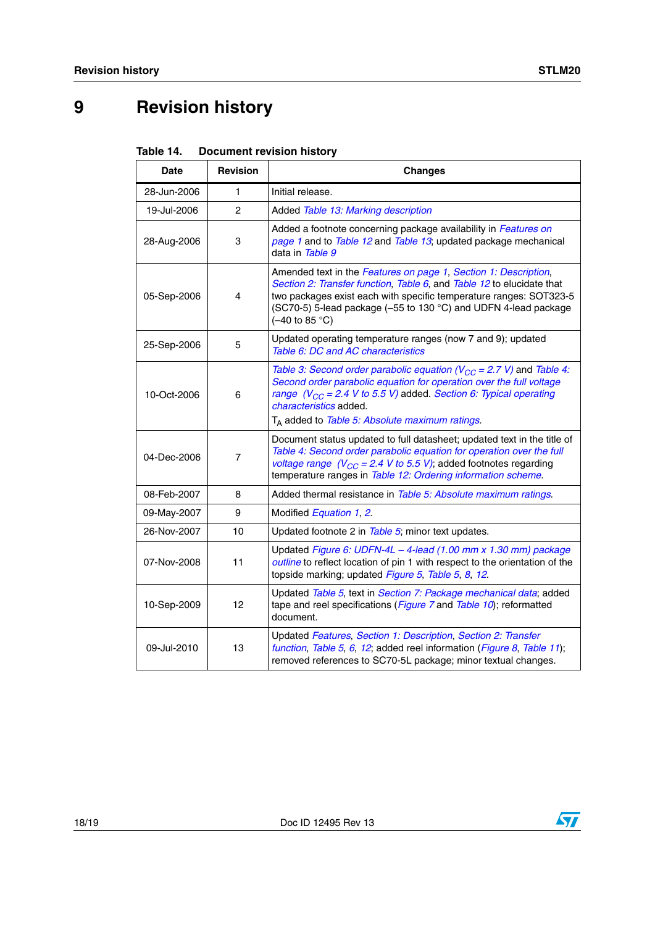## <span id="page-17-0"></span>**9 Revision history**

<span id="page-17-1"></span>

|  | Table 14. | <b>Document revision history</b> |  |
|--|-----------|----------------------------------|--|
|--|-----------|----------------------------------|--|

| Date        | <b>Revision</b> | <b>Changes</b>                                                                                                                                                                                                                                                                                                            |
|-------------|-----------------|---------------------------------------------------------------------------------------------------------------------------------------------------------------------------------------------------------------------------------------------------------------------------------------------------------------------------|
| 28-Jun-2006 | $\mathbf{1}$    | Initial release.                                                                                                                                                                                                                                                                                                          |
| 19-Jul-2006 | 2               | Added Table 13: Marking description                                                                                                                                                                                                                                                                                       |
| 28-Aug-2006 | 3               | Added a footnote concerning package availability in Features on<br>page 1 and to Table 12 and Table 13; updated package mechanical<br>data in Table 9                                                                                                                                                                     |
| 05-Sep-2006 | 4               | Amended text in the Features on page 1, Section 1: Description,<br>Section 2: Transfer function, Table 6, and Table 12 to elucidate that<br>two packages exist each with specific temperature ranges: SOT323-5<br>(SC70-5) 5-lead package (-55 to 130 °C) and UDFN 4-lead package<br>$(-40 \text{ to } 85 \text{ °C})$    |
| 25-Sep-2006 | 5               | Updated operating temperature ranges (now 7 and 9); updated<br>Table 6: DC and AC characteristics                                                                                                                                                                                                                         |
| 10-Oct-2006 | 6               | Table 3: Second order parabolic equation ( $V_{CC}$ = 2.7 V) and Table 4:<br>Second order parabolic equation for operation over the full voltage<br>range ( $V_{CC}$ = 2.4 V to 5.5 V) added. Section 6: Typical operating<br><i>characteristics</i> added.<br>T <sub>A</sub> added to Table 5: Absolute maximum ratings. |
| 04-Dec-2006 | 7               | Document status updated to full datasheet; updated text in the title of<br>Table 4: Second order parabolic equation for operation over the full<br>voltage range ( $V_{CC}$ = 2.4 V to 5.5 V); added footnotes regarding<br>temperature ranges in Table 12: Ordering information scheme.                                  |
| 08-Feb-2007 | 8               | Added thermal resistance in Table 5: Absolute maximum ratings.                                                                                                                                                                                                                                                            |
| 09-May-2007 | 9               | Modified Equation 1, 2.                                                                                                                                                                                                                                                                                                   |
| 26-Nov-2007 | 10              | Updated footnote 2 in Table 5; minor text updates.                                                                                                                                                                                                                                                                        |
| 07-Nov-2008 | 11              | Updated Figure 6: UDFN-4L - 4-lead (1.00 mm x 1.30 mm) package<br>outline to reflect location of pin 1 with respect to the orientation of the<br>topside marking; updated Figure 5, Table 5, 8, 12.                                                                                                                       |
| 10-Sep-2009 | 12              | Updated Table 5, text in Section 7: Package mechanical data; added<br>tape and reel specifications (Figure 7 and Table 10); reformatted<br>document.                                                                                                                                                                      |
| 09-Jul-2010 | 13              | Updated Features, Section 1: Description, Section 2: Transfer<br>function, Table 5, 6, 12; added reel information (Figure 8, Table 11);<br>removed references to SC70-5L package; minor textual changes.                                                                                                                  |